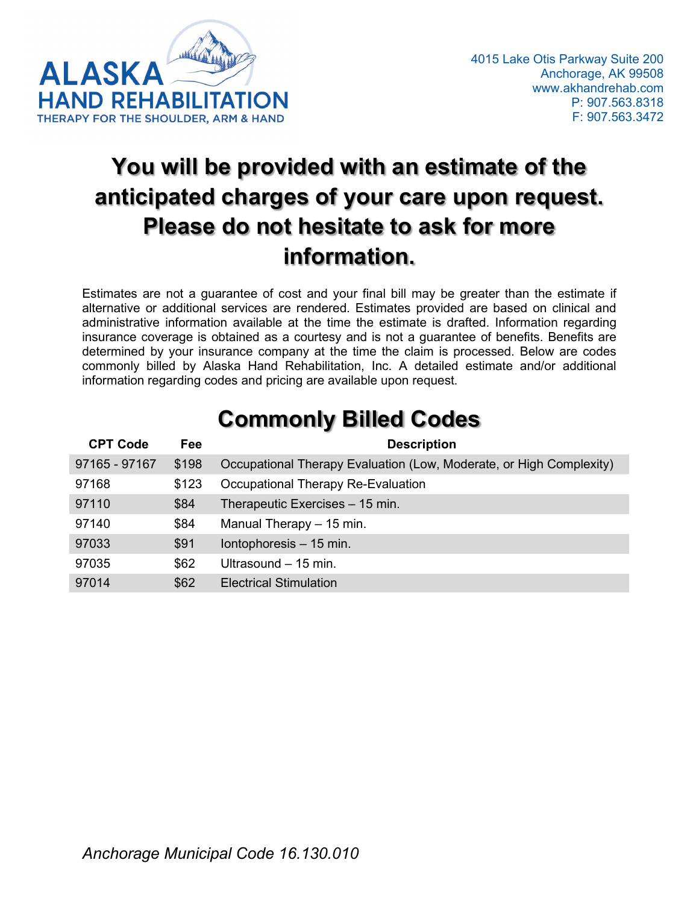

# **You will be provided with an estimate of the anticipated charges of your care upon request. Please do not hesitate to ask for more information.**

Estimates are not a guarantee of cost and your final bill may be greater than the estimate if alternative or additional services are rendered. Estimates provided are based on clinical and administrative information available at the time the estimate is drafted. Information regarding insurance coverage is obtained as a courtesy and is not a guarantee of benefits. Benefits are determined by your insurance company at the time the claim is processed. Below are codes commonly billed by Alaska Hand Rehabilitation, Inc. A detailed estimate and/or additional information regarding codes and pricing are available upon request.

| <b>CPT Code</b> | Fee   | <b>Description</b>                                                  |
|-----------------|-------|---------------------------------------------------------------------|
| 97165 - 97167   | \$198 | Occupational Therapy Evaluation (Low, Moderate, or High Complexity) |
| 97168           | \$123 | Occupational Therapy Re-Evaluation                                  |
| 97110           | \$84  | Therapeutic Exercises - 15 min.                                     |
| 97140           | \$84  | Manual Therapy - 15 min.                                            |
| 97033           | \$91  | Iontophoresis - 15 min.                                             |
| 97035           | \$62  | Ultrasound $-15$ min.                                               |
| 97014           | \$62  | <b>Electrical Stimulation</b>                                       |

## **Commonly Billed Codes**